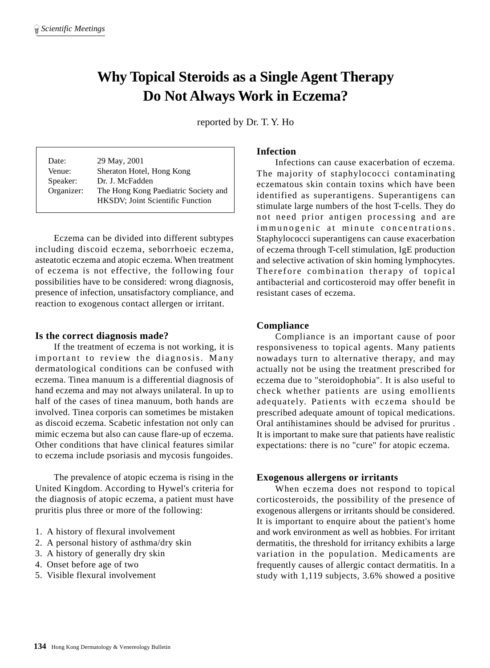# **Why Topical Steroids as a Single Agent Therapy Do Not Always Work in Eczema?**

reported by Dr. T. Y. Ho

| Date:      | 29 May, 2001                             |
|------------|------------------------------------------|
| Venue:     | Sheraton Hotel, Hong Kong                |
| Speaker:   | Dr. J. McFadden                          |
| Organizer: | The Hong Kong Paediatric Society and     |
|            | <b>HKSDV</b> ; Joint Scientific Function |

Eczema can be divided into different subtypes including discoid eczema, seborrhoeic eczema, asteatotic eczema and atopic eczema. When treatment of eczema is not effective, the following four possibilities have to be considered: wrong diagnosis, presence of infection, unsatisfactory compliance, and reaction to exogenous contact allergen or irritant.

### **Is the correct diagnosis made?**

If the treatment of eczema is not working, it is important to review the diagnosis. Many dermatological conditions can be confused with eczema. Tinea manuum is a differential diagnosis of hand eczema and may not always unilateral. In up to half of the cases of tinea manuum, both hands are involved. Tinea corporis can sometimes be mistaken as discoid eczema. Scabetic infestation not only can mimic eczema but also can cause flare-up of eczema. Other conditions that have clinical features similar to eczema include psoriasis and mycosis fungoides.

The prevalence of atopic eczema is rising in the United Kingdom. According to Hywel's criteria for the diagnosis of atopic eczema, a patient must have pruritis plus three or more of the following:

- 1. A history of flexural involvement
- 2. A personal history of asthma/dry skin
- 3. A history of generally dry skin
- 4. Onset before age of two
- 5. Visible flexural involvement

## **Infection**

Infections can cause exacerbation of eczema. The majority of staphylococci contaminating eczematous skin contain toxins which have been identified as superantigens. Superantigens can stimulate large numbers of the host T-cells. They do not need prior antigen processing and are immunogenic at minute concentrations. Staphylococci superantigens can cause exacerbation of eczema through T-cell stimulation, IgE production and selective activation of skin homing lymphocytes. Therefore combination therapy of topical antibacterial and corticosteroid may offer benefit in resistant cases of eczema.

## **Compliance**

Compliance is an important cause of poor responsiveness to topical agents. Many patients nowadays turn to alternative therapy, and may actually not be using the treatment prescribed for eczema due to "steroidophobia". It is also useful to check whether patients are using emollients adequately. Patients with eczema should be prescribed adequate amount of topical medications. Oral antihistamines should be advised for pruritus . It is important to make sure that patients have realistic expectations: there is no "cure" for atopic eczema.

### **Exogenous allergens or irritants**

When eczema does not respond to topical corticosteroids, the possibility of the presence of exogenous allergens or irritants should be considered. It is important to enquire about the patient's home and work environment as well as hobbies. For irritant dermatitis, the threshold for irritancy exhibits a large variation in the population. Medicaments are frequently causes of allergic contact dermatitis. In a study with 1,119 subjects, 3.6% showed a positive